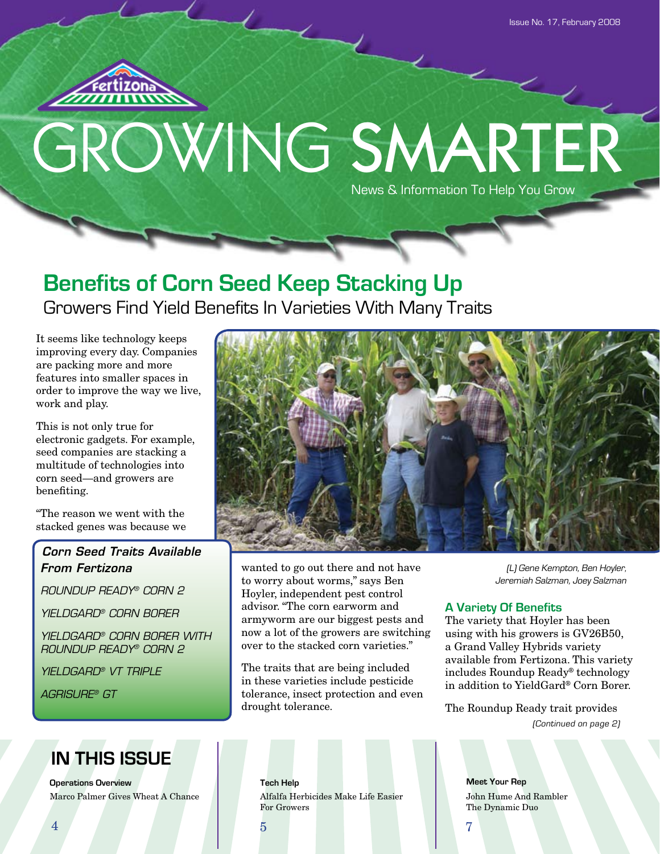

# GROWING SMARTER News & Information To Help You Grow

# **Benefits of Corn Seed Keep Stacking Up** Growers Find Yield Benefits In Varieties With Many Traits

It seems like technology keeps improving every day. Companies are packing more and more features into smaller spaces in order to improve the way we live, work and play.

This is not only true for electronic gadgets. For example, seed companies are stacking a multitude of technologies into corn seed—and growers are benefiting.

"The reason we went with the stacked genes was because we

## *Corn Seed Traits Available From Fertizona*

*ROUNDUP READY® CORN 2*

*YIELDGARD® CORN BORER*

*YIELDGARD® CORN BORER WITH ROUNDUP READY® CORN 2*

*YIELDGARD® VT TRIPLE*

*AGRISURE® GT*

## **IN THIS ISSUE**

**Operations Overview <b>Tech Help Tech Help** Marco Palmer Gives Wheat A Chance



wanted to go out there and not have to worry about worms," says Ben Hoyler, independent pest control advisor. "The corn earworm and armyworm are our biggest pests and now a lot of the growers are switching over to the stacked corn varieties."

The traits that are being included in these varieties include pesticide tolerance, insect protection and even drought tolerance.

(L) Gene Kempton, Ben Hoyler, Jeremiah Salzman, Joey Salzman

## **A Variety Of Benefits**

The variety that Hoyler has been using with his growers is GV26B50, a Grand Valley Hybrids variety available from Fertizona. This variety includes Roundup Ready® technology in addition to YieldGard® Corn Borer.

The Roundup Ready trait provides

(Continued on page 2)

Alfalfa Herbicides Make Life Easier For Growers

**Meet Your Rep** John Hume And Rambler The Dynamic Duo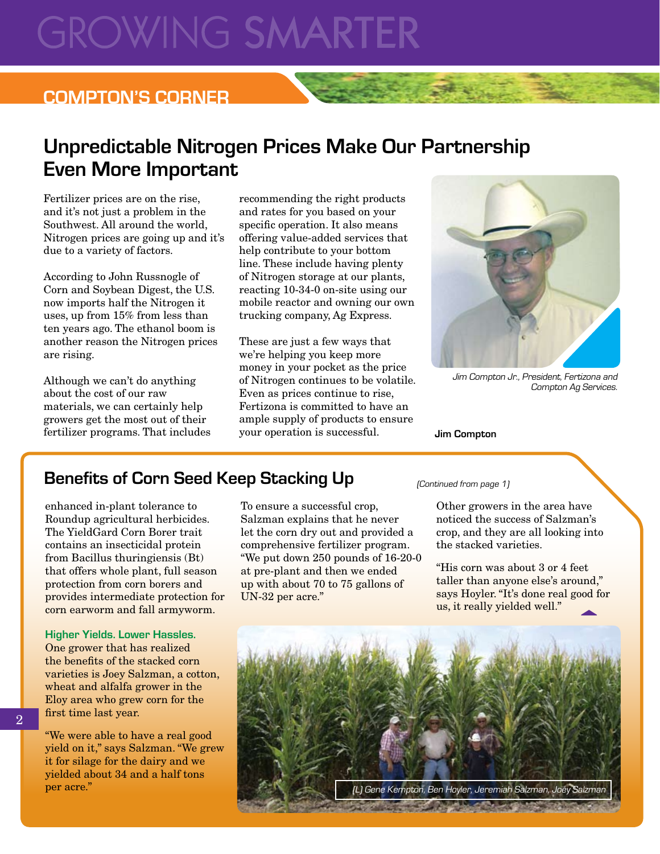# **GROWING SMARTER**

## **COMPTON'S CORNER**

## **Unpredictable Nitrogen Prices Make Our Partnership Even More Important**

Fertilizer prices are on the rise, and it's not just a problem in the Southwest. All around the world, Nitrogen prices are going up and it's due to a variety of factors.

According to John Russnogle of Corn and Soybean Digest, the U.S. now imports half the Nitrogen it uses, up from 15% from less than ten years ago. The ethanol boom is another reason the Nitrogen prices are rising.

Although we can't do anything about the cost of our raw materials, we can certainly help growers get the most out of their fertilizer programs. That includes

recommending the right products and rates for you based on your specific operation. It also means offering value-added services that help contribute to your bottom line. These include having plenty of Nitrogen storage at our plants, reacting 10-34-0 on-site using our mobile reactor and owning our own trucking company, Ag Express.

These are just a few ways that we're helping you keep more money in your pocket as the price of Nitrogen continues to be volatile. Even as prices continue to rise, Fertizona is committed to have an ample supply of products to ensure your operation is successful. **Jim Compton**



Jim Compton Jr., President, Fertizona and Compton Ag Services.

## **Benefits of Corn Seed Keep Stacking Up**

enhanced in-plant tolerance to Roundup agricultural herbicides. The YieldGard Corn Borer trait contains an insecticidal protein from Bacillus thuringiensis (Bt) that offers whole plant, full season protection from corn borers and provides intermediate protection for corn earworm and fall armyworm.

**Higher Yields. Lower Hassles.** One grower that has realized the benefits of the stacked corn varieties is Joey Salzman, a cotton, wheat and alfalfa grower in the Eloy area who grew corn for the first time last year.

"We were able to have a real good yield on it," says Salzman. "We grew it for silage for the dairy and we yielded about 34 and a half tons per acre."

To ensure a successful crop, Salzman explains that he never let the corn dry out and provided a comprehensive fertilizer program. "We put down 250 pounds of 16-20-0 at pre-plant and then we ended up with about 70 to 75 gallons of UN-32 per acre."

(Continued from page 1)

Other growers in the area have noticed the success of Salzman's crop, and they are all looking into the stacked varieties.

"His corn was about 3 or 4 feet taller than anyone else's around," says Hoyler. "It's done real good for us, it really yielded well."



2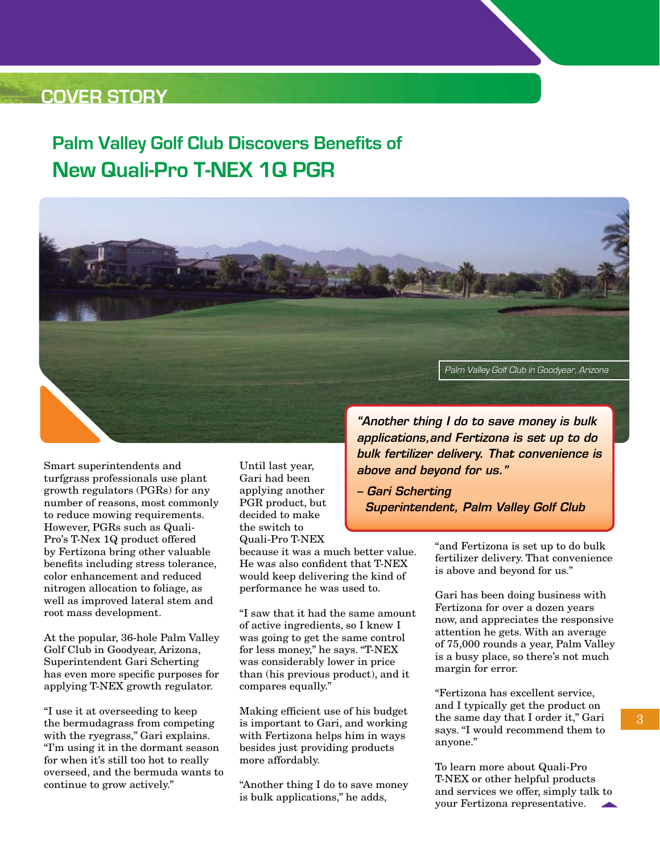## **COVER STORY**

# **Palm Valley Golf Club Discovers Benefits of New Quali-Pro T-NEX 1Q PGR**



Smart superintendents and turfgrass professionals use plant growth regulators (PGRs) for any number of reasons, most commonly to reduce mowing requirements. However, PGRs such as Quali-Pro's T-Nex 1Q product offered by Fertizona bring other valuable benefits including stress tolerance, color enhancement and reduced nitrogen allocation to foliage, as well as improved lateral stem and root mass development.

At the popular, 36-hole Palm Valley Golf Club in Goodyear, Arizona, Superintendent Gari Scherting has even more specific purposes for applying T-NEX growth regulator.

"I use it at overseeding to keep the bermudagrass from competing with the ryegrass," Gari explains. "I'm using it in the dormant season for when it's still too hot to really overseed, and the bermuda wants to continue to grow actively."

Until last year, Gari had been applying another PGR product, but decided to make the switch to Quali-Pro T-NEX

because it was a much better value. He was also confident that T-NEX would keep delivering the kind of performance he was used to.

"I saw that it had the same amount of active ingredients, so I knew I was going to get the same control for less money," he says. "T-NEX was considerably lower in price than (his previous product), and it compares equally."

Making efficient use of his budget is important to Gari, and working with Fertizona helps him in ways besides just providing products more affordably.

"Another thing I do to save money is bulk applications," he adds,

*"Another thing I do to save money is bulk applications,and Fertizona is set up to do bulk fertilizer delivery. That convenience is above and beyond for us."*

*– Gari Scherting Superintendent, Palm Valley Golf Club*

> "and Fertizona is set up to do bulk fertilizer delivery. That convenience is above and beyond for us."

Gari has been doing business with Fertizona for over a dozen years now, and appreciates the responsive attention he gets. With an average of 75,000 rounds a year, Palm Valley is a busy place, so there's not much margin for error.

"Fertizona has excellent service, and I typically get the product on the same day that I order it," Gari says. "I would recommend them to anyone."

To learn more about Quali-Pro T-NEX or other helpful products and services we offer, simply talk to your Fertizona representative.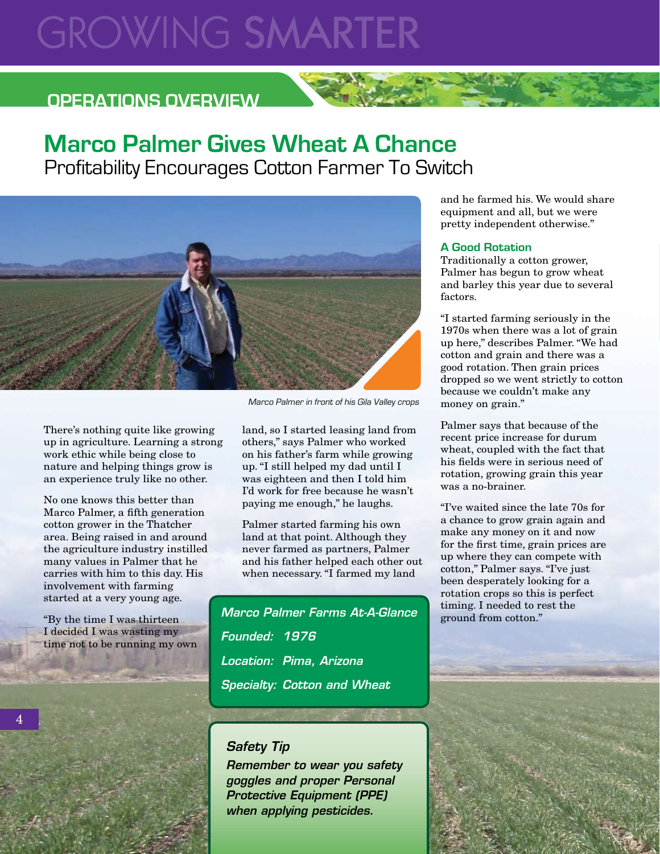# **GROWING SMARTER**

## **OPERATIONS OVERVIEW**

## **Marco Palmer Gives Wheat A Chance** Profitability Encourages Cotton Farmer To Switch



There's nothing quite like growing up in agriculture. Learning a strong work ethic while being close to nature and helping things grow is an experience truly like no other.

No one knows this better than Marco Palmer, a fifth generation cotton grower in the Thatcher area. Being raised in and around the agriculture industry instilled many values in Palmer that he carries with him to this day. His involvement with farming started at a very young age.

"By the time I was thirteen I decided I was wasting my time not to be running my own Marco Palmer in front of his Gila Valley crops

land, so I started leasing land from others," says Palmer who worked on his father's farm while growing up. "I still helped my dad until I was eighteen and then I told him I'd work for free because he wasn't paying me enough," he laughs.

Palmer started farming his own land at that point. Although they never farmed as partners, Palmer and his father helped each other out when necessary. "I farmed my land

*Marco Palmer Farms At-A-Glance Founded: 1976 Location: Pima, Arizona Specialty: Cotton and Wheat*

## *Safety Tip*

*Remember to wear you safety goggles and proper Personal Protective Equipment (PPE) when applying pesticides.* 

and he farmed his. We would share equipment and all, but we were pretty independent otherwise."

#### **A Good Rotation**

Traditionally a cotton grower, Palmer has begun to grow wheat and barley this year due to several factors.

"I started farming seriously in the 1970s when there was a lot of grain up here," describes Palmer. "We had cotton and grain and there was a good rotation. Then grain prices dropped so we went strictly to cotton because we couldn't make any money on grain."

Palmer says that because of the recent price increase for durum wheat, coupled with the fact that his fields were in serious need of rotation, growing grain this year was a no-brainer.

"I've waited since the late 70s for a chance to grow grain again and make any money on it and now for the first time, grain prices are up where they can compete with cotton," Palmer says. "I've just been desperately looking for a rotation crops so this is perfect timing. I needed to rest the ground from cotton."

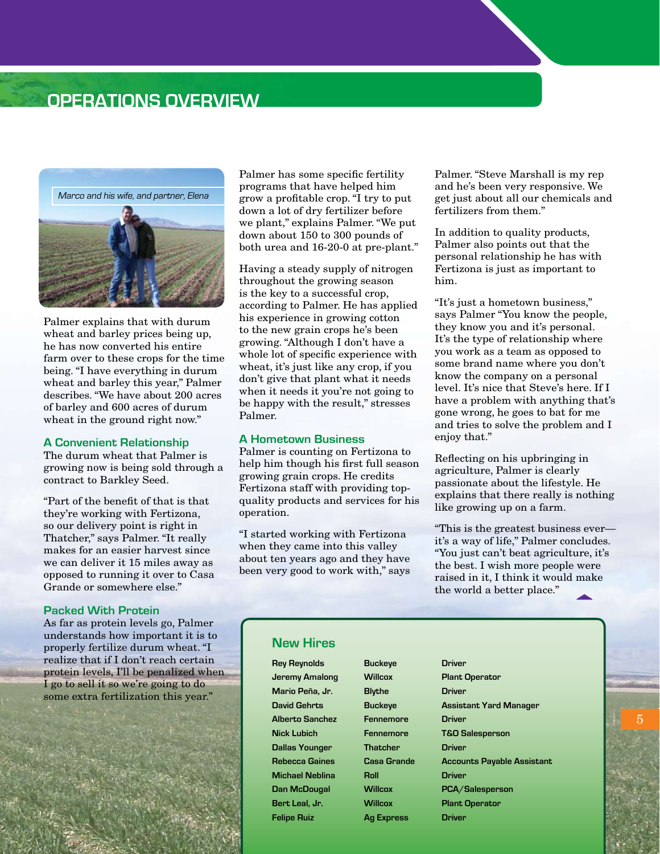## **OPERATIONS OVERVIEW**



Palmer explains that with durum wheat and barley prices being up, he has now converted his entire farm over to these crops for the time being. "I have everything in durum wheat and barley this year," Palmer describes. "We have about 200 acres of barley and 600 acres of durum wheat in the ground right now."

#### **A Convenient Relationship**

The durum wheat that Palmer is growing now is being sold through a contract to Barkley Seed.

"Part of the benefit of that is that they're working with Fertizona, so our delivery point is right in Thatcher," says Palmer. "It really makes for an easier harvest since we can deliver it 15 miles away as opposed to running it over to Casa Grande or somewhere else."

#### **Packed With Protein**

As far as protein levels go, Palmer understands how important it is to properly fertilize durum wheat. "I realize that if I don't reach certain protein levels, I'll be penalized when I go to sell it so we're going to do some extra fertilization this year."

Palmer has some specific fertility programs that have helped him grow a profitable crop. "I try to put down a lot of dry fertilizer before we plant," explains Palmer. "We put down about 150 to 300 pounds of both urea and 16-20-0 at pre-plant."

Having a steady supply of nitrogen throughout the growing season is the key to a successful crop, according to Palmer. He has applied his experience in growing cotton to the new grain crops he's been growing. "Although I don't have a whole lot of specific experience with wheat, it's just like any crop, if you don't give that plant what it needs when it needs it you're not going to be happy with the result," stresses Palmer.

#### **A Hometown Business**

Palmer is counting on Fertizona to help him though his first full season growing grain crops. He credits Fertizona staff with providing topquality products and services for his operation.

"I started working with Fertizona when they came into this valley about ten years ago and they have been very good to work with," says

Palmer. "Steve Marshall is my rep and he's been very responsive. We get just about all our chemicals and fertilizers from them."

In addition to quality products, Palmer also points out that the personal relationship he has with Fertizona is just as important to him.

"It's just a hometown business," says Palmer "You know the people, they know you and it's personal. It's the type of relationship where you work as a team as opposed to some brand name where you don't know the company on a personal level. It's nice that Steve's here. If I have a problem with anything that's gone wrong, he goes to bat for me and tries to solve the problem and I enjoy that."

Reflecting on his upbringing in agriculture, Palmer is clearly passionate about the lifestyle. He explains that there really is nothing like growing up on a farm.

"This is the greatest business ever it's a way of life," Palmer concludes. "You just can't beat agriculture, it's the best. I wish more people were raised in it, I think it would make the world a better place."

#### **New Hires**

**Jeremy Amalong Willcox Plant Operator Mario Peña, Jr. Blythe Driver Alberto Sanchez Fennemore Driver Dallas Younger** Thatcher Driver **Michael Neblina Roll Driver Bert Leal, Jr. Willcox Plant Operator Felipe Ruiz Ag Express Driver** 

**Rey Reynolds Buckeye Driver**

**David Gehrts Buckeye Assistant Yard Manager Nick Lubich Fennemore T&O Salesperson Rebecca Gaines Casa Grande Accounts Payable Assistant Dan McDougal Willcox PCA/Salesperson**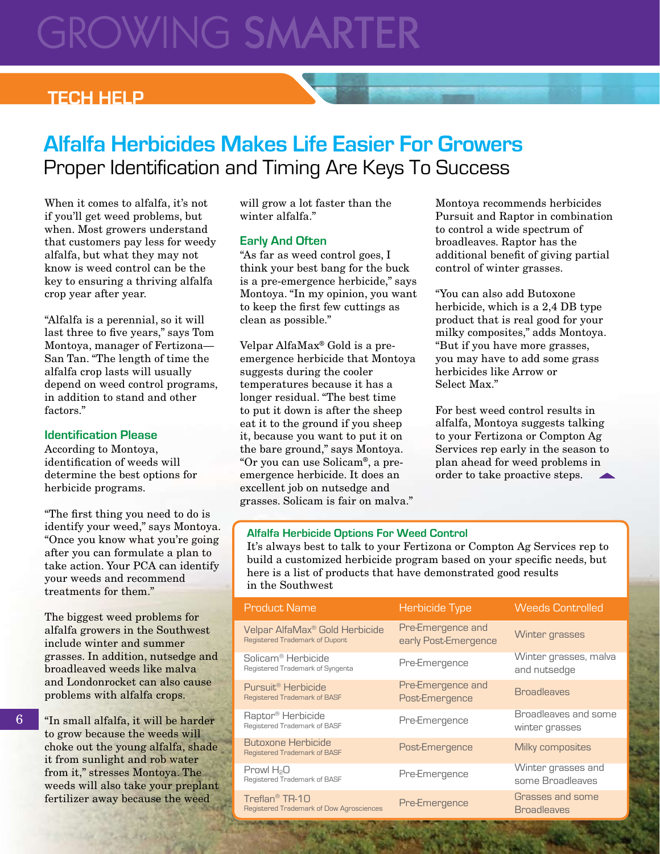# **GROWING SMARTE**

## **Tech HELP**

# **Alfalfa Herbicides Makes Life Easier For Growers** Proper Identification and Timing Are Keys To Success

When it comes to alfalfa, it's not if you'll get weed problems, but when. Most growers understand that customers pay less for weedy alfalfa, but what they may not know is weed control can be the key to ensuring a thriving alfalfa crop year after year.

"Alfalfa is a perennial, so it will last three to five years," says Tom Montoya, manager of Fertizona— San Tan. "The length of time the alfalfa crop lasts will usually depend on weed control programs, in addition to stand and other factors."

#### **Identification Please**

According to Montoya, identification of weeds will determine the best options for herbicide programs.

"The first thing you need to do is identify your weed," says Montoya. "Once you know what you're going after you can formulate a plan to take action. Your PCA can identify your weeds and recommend treatments for them."

The biggest weed problems for alfalfa growers in the Southwest include winter and summer grasses. In addition, nutsedge and broadleaved weeds like malva and Londonrocket can also cause problems with alfalfa crops.

"In small alfalfa, it will be harder to grow because the weeds will choke out the young alfalfa, shade it from sunlight and rob water from it," stresses Montoya. The weeds will also take your preplant fertilizer away because the weed

will grow a lot faster than the winter alfalfa."

### **Early And Often**

"As far as weed control goes, I think your best bang for the buck is a pre-emergence herbicide," says Montoya. "In my opinion, you want to keep the first few cuttings as clean as possible."

Velpar AlfaMax® Gold is a preemergence herbicide that Montoya suggests during the cooler temperatures because it has a longer residual. "The best time to put it down is after the sheep eat it to the ground if you sheep it, because you want to put it on the bare ground," says Montoya. "Or you can use Solicam®, a preemergence herbicide. It does an excellent job on nutsedge and grasses. Solicam is fair on malva."

Montoya recommends herbicides Pursuit and Raptor in combination to control a wide spectrum of broadleaves. Raptor has the additional benefit of giving partial control of winter grasses.

"You can also add Butoxone herbicide, which is a 2,4 DB type product that is real good for your milky composites," adds Montoya. "But if you have more grasses, you may have to add some grass herbicides like Arrow or Select Max."

For best weed control results in alfalfa, Montoya suggests talking to your Fertizona or Compton Ag Services rep early in the season to plan ahead for weed problems in order to take proactive steps.

#### **Alfalfa Herbicide Options For Weed Control**

It's always best to talk to your Fertizona or Compton Ag Services rep to build a customized herbicide program based on your specific needs, but here is a list of products that have demonstrated good results in the Southwest

| <b>Product Name</b>                                                    | <b>Herbicide Type</b>                     | <b>Weeds Controlled</b>                |
|------------------------------------------------------------------------|-------------------------------------------|----------------------------------------|
| Velpar AlfaMax® Gold Herbicide<br>Registered Trademark of Dupont       | Pre-Emergence and<br>early Post-Emergence | Winter grasses                         |
| Solicam <sup>®</sup> Herbicide<br>Registered Trademark of Syngenta     | Pre-Emergence                             | Winter grasses, malva<br>and nutsedge  |
| Pursuit® Herbicide<br>Registered Trademark of BASF                     | Pre-Emergence and<br>Post-Emergence       | <b>Broadleaves</b>                     |
| Raptor <sup>®</sup> Herbicide<br>Registered Trademark of BASF          | Pre-Emergence                             | Broadleaves and some<br>winter grasses |
| Butoxone Herbicide<br>Registered Trademark of BASF                     | Post-Emergence                            | Milky composites                       |
| Prowl $H_2O$<br>Registered Trademark of BASF                           | Pre-Emergence                             | Winter grasses and<br>some Broadleaves |
| Treflan <sup>®</sup> TR-10<br>Registered Trademark of Dow Agrosciences | Pre-Emergence                             | Grasses and some<br><b>Broadleaves</b> |

6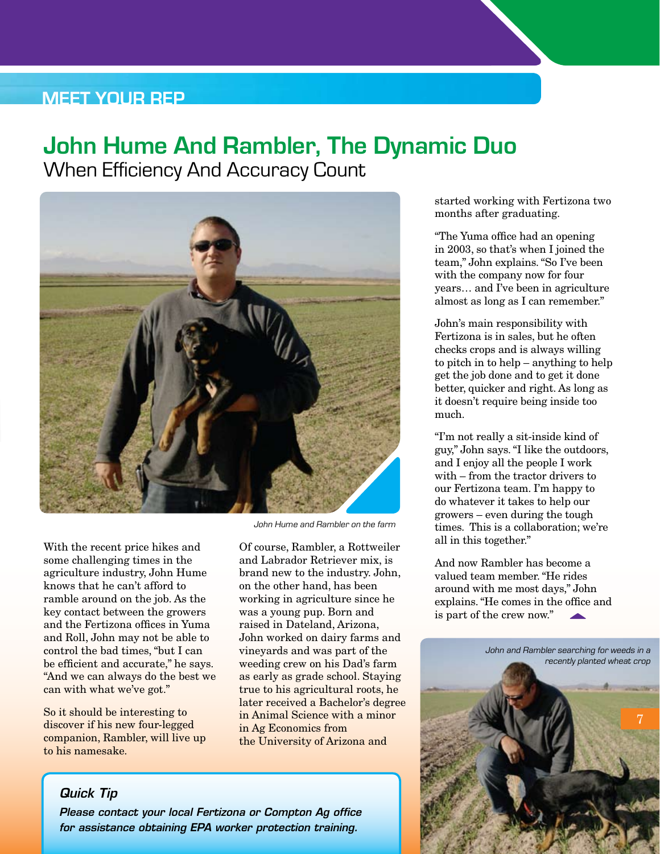## **Meet Your Rep**

# **John Hume And Rambler, The Dynamic Duo** When Efficiency And Accuracy Count



With the recent price hikes and some challenging times in the agriculture industry, John Hume knows that he can't afford to ramble around on the job. As the key contact between the growers and the Fertizona offices in Yuma and Roll, John may not be able to control the bad times, "but I can be efficient and accurate," he says. "And we can always do the best we can with what we've got."

So it should be interesting to discover if his new four-legged companion, Rambler, will live up to his namesake.

John Hume and Rambler on the farm

Of course, Rambler, a Rottweiler and Labrador Retriever mix, is brand new to the industry. John, on the other hand, has been working in agriculture since he was a young pup. Born and raised in Dateland, Arizona, John worked on dairy farms and vineyards and was part of the weeding crew on his Dad's farm as early as grade school. Staying true to his agricultural roots, he later received a Bachelor's degree in Animal Science with a minor in Ag Economics from the University of Arizona and

started working with Fertizona two months after graduating.

"The Yuma office had an opening in 2003, so that's when I joined the team," John explains. "So I've been with the company now for four years… and I've been in agriculture almost as long as I can remember."

John's main responsibility with Fertizona is in sales, but he often checks crops and is always willing to pitch in to help – anything to help get the job done and to get it done better, quicker and right. As long as it doesn't require being inside too much.

"I'm not really a sit-inside kind of guy," John says. "I like the outdoors, and I enjoy all the people I work with – from the tractor drivers to our Fertizona team. I'm happy to do whatever it takes to help our growers – even during the tough times. This is a collaboration; we're all in this together."

And now Rambler has become a valued team member. "He rides around with me most days," John explains. "He comes in the office and is part of the crew now."

7 John and Rambler searching for weeds in a recently planted wheat crop

## *Quick Tip*

*Please contact your local Fertizona or Compton Ag office for assistance obtaining EPA worker protection training.*